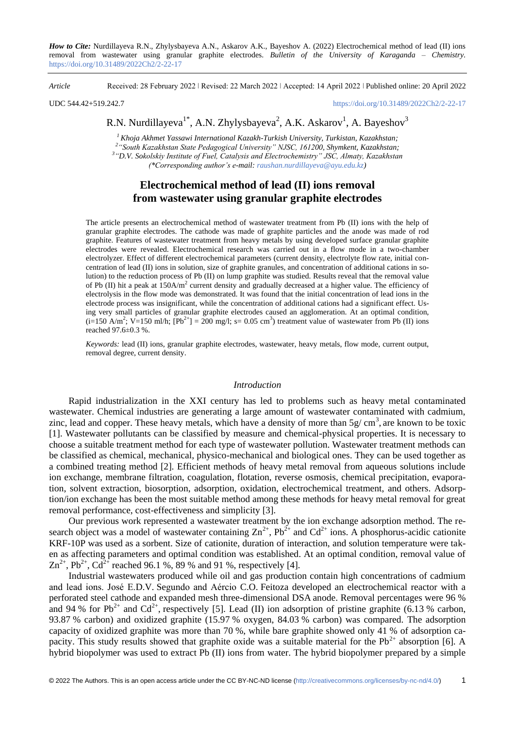*How to Cite:* Nurdillayeva R.N., Zhylysbayeva A.N., Askarov A.K., Bayeshov A. (2022) Electrochemical method of lead (II) ions removal from wastewater using granular graphite electrodes. *Bulletin of the University of Karaganda – Chemistry.*  https://doi.org/10.31489/2022Ch2/2-22-17

*Article* Received: 28 February 2022 ǀ Revised: 22 March 2022 ǀ Accepted: 14 April 2022 ǀ Published online: 20 April 2022

UDC 544.42+519.242.7 <https://doi.org/10.31489/2022Ch2/2-22-17>

# R.N. Nurdillayeva $^{1*}$ , A.N. Zhylysbayeva $^{2}$ , A.K. Askarov $^{1}$ , A. Bayeshov $^{3}$

*Khoja Akhmet Yassawi International Kazakh-Turkish University, Turkistan, Kazakhstan; "South Kazakhstan State Pedagogical University" NJSC, 161200, Shymkent, Kazakhstan; "D.V. Sokolskiy Institute of Fuel, Catalysis and Electrochemistry" JSC, Almaty, Kazakhstan (\*Corresponding author's e-mail: [raushan.nurdillayeva@ayu.edu.kz\)](mailto:raushan.nurdillayeva@ayu.edu.kz)*

## **Electrochemical method of lead (II) ions removal from wastewater using granular graphite electrodes**

The article presents an electrochemical method of wastewater treatment from Pb (II) ions with the help of granular graphite electrodes. The cathode was made of graphite particles and the anode was made of rod graphite. Features of wastewater treatment from heavy metals by using developed surface granular graphite electrodes were revealed. Electrochemical research was carried out in a flow mode in a two-chamber electrolyzer. Effect of different electrochemical parameters (current density, electrolyte flow rate, initial concentration of lead (II) ions in solution, size of graphite granules, and concentration of additional cations in solution) to the reduction process of Pb (II) on lump graphite was studied. Results reveal that the removal value of Pb (II) hit a peak at  $150$ A/m<sup>2</sup> current density and gradually decreased at a higher value. The efficiency of electrolysis in the flow mode was demonstrated. It was found that the initial concentration of lead ions in the electrode process was insignificant, while the concentration of additional cations had a significant effect. Using very small particles of granular graphite electrodes caused an agglomeration. At an optimal condition,  $(i=150 \text{ A/m}^2; \text{ V}=150 \text{ mJ/h}; [\text{Pb}^{2+}]=200 \text{ mg/l}; s=0.05 \text{ cm}^3)$  treatment value of wastewater from Pb (II) ions reached 97.6±0.3 %.

*Keywords:* lead (II) ions, granular graphite electrodes, wastewater, heavy metals, flow mode, current output, removal degree, current density.

## *Introduction*

Rapid industrialization in the XXI century has led to problems such as heavy metal contaminated wastewater. Chemical industries are generating a large amount of wastewater contaminated with cadmium, zinc, lead and copper. These heavy metals, which have a density of more than  $5g/cm^3$ , are known to be toxic [1]. Wastewater pollutants can be classified by measure and chemical-physical properties. It is necessary to choose a suitable treatment method for each type of wastewater pollution. Wastewater treatment methods can be classified as chemical, mechanical, physico-mechanical and biological ones. They can be used together as a combined treating method [2]. Efficient methods of heavy metal removal from aqueous solutions include ion exchange, membrane filtration, coagulation, flotation, reverse osmosis, chemical precipitation, evaporation, solvent extraction, biosorption, adsorption, oxidation, electrochemical treatment, and others. Adsorption/ion exchange has been the most suitable method among these methods for heavy metal removal for great removal performance, cost-effectiveness and simplicity [3].

Our previous work represented a wastewater treatment by the ion exchange adsorption method. The research object was a model of wastewater containing  $\text{Zn}^{2+}$ ,  $\text{Pb}^{2+}$  and  $\text{Cd}^{2+}$  ions. A phosphorus-acidic cationite KRF-10P was used as a sorbent. Size of cationite, duration of interaction, and solution temperature were taken as affecting parameters and optimal condition was established. At an optimal condition, removal value of  $\text{Zn}^{2+}$ , Pb<sup>2+</sup>, Cd<sup>2+</sup> reached 96.1 %, 89 % and 91 %, respectively [4].

Industrial wastewaters produced while oil and gas production contain high concentrations of cadmium and lead ions. José E.D.V. Segundo and Aércio C.O. Feitoza developed an electrochemical reactor with a perforated steel cathode and expanded mesh three-dimensional DSA anode. Removal percentages were 96 % and 94 % for Pb<sup>2+</sup> and Cd<sup>2+</sup>, respectively [5]. Lead (II) ion adsorption of pristine graphite (6.13 % carbon, 93.87 % carbon) and oxidized graphite (15.97 % oxygen, 84.03 % carbon) was compared. The adsorption capacity of oxidized graphite was more than 70 %, while bare graphite showed only 41 % of adsorption capacity. This study results showed that graphite oxide was a suitable material for the  $Pb^{2+}$  absorption [6]. A hybrid biopolymer was used to extract Pb (II) ions from water. The hybrid biopolymer prepared by a simple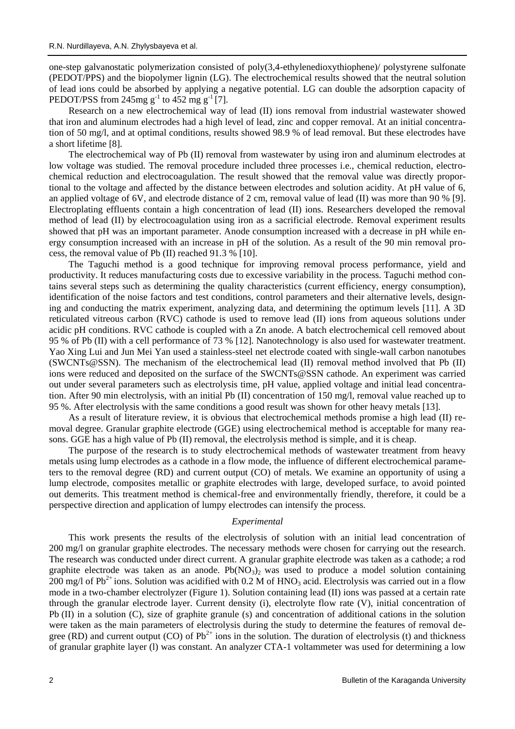one-step galvanostatic polymerization consisted of poly(3,4-ethylenedioxythiophene)/ polystyrene sulfonate (PEDOT/PPS) and the biopolymer lignin (LG). The electrochemical results showed that the neutral solution of lead ions could be absorbed by applying a negative potential. LG can double the adsorption capacity of PEDOT/PSS from 245mg  $g^{-1}$  to 452 mg  $g^{-1}$  [7].

Research on a new electrochemical way of lead (II) ions removal from industrial wastewater showed that iron and aluminum electrodes had a high level of lead, zinc and copper removal. At an initial concentration of 50 mg/l, and at optimal conditions, results showed 98.9 % of lead removal. But these electrodes have a short lifetime [8].

The electrochemical way of Pb (II) removal from wastewater by using iron and aluminum electrodes at low voltage was studied. The removal procedure included three processes i.e., chemical reduction, electrochemical reduction and electrocoagulation. The result showed that the removal value was directly proportional to the voltage and affected by the distance between electrodes and solution acidity. At pH value of 6, an applied voltage of 6V, and electrode distance of 2 cm, removal value of lead (II) was more than 90 % [9]. Electroplating effluents contain a high concentration of lead (II) ions. Researchers developed the removal method of lead (II) by electrocoagulation using iron as a sacrificial electrode. Removal experiment results showed that pH was an important parameter. Anode consumption increased with a decrease in pH while energy consumption increased with an increase in pH of the solution. As a result of the 90 min removal process, the removal value of Pb (II) reached 91.3 % [10].

The Taguchi method is a good technique for improving removal process performance, yield and productivity. It reduces manufacturing costs due to excessive variability in the process. Taguchi method contains several steps such as determining the quality characteristics (current efficiency, energy consumption), identification of the noise factors and test conditions, control parameters and their alternative levels, designing and conducting the matrix experiment, analyzing data, and determining the optimum levels [11]. A 3D reticulated vitreous carbon (RVC) cathode is used to remove lead (II) ions from aqueous solutions under acidic pH conditions. RVC cathode is coupled with a Zn anode. A batch electrochemical cell removed about 95 % of Pb (II) with a cell performance of 73 % [12]. Nanotechnology is also used for wastewater treatment. Yao Xing Lui and Jun Mei Yan used a stainless-steel net electrode coated with single-wall carbon nanotubes (SWCNTs@SSN). The mechanism of the electrochemical lead (II) removal method involved that Pb (II) ions were reduced and deposited on the surface of the SWCNTs@SSN cathode. An experiment was carried out under several parameters such as electrolysis time, pH value, applied voltage and initial lead concentration. After 90 min electrolysis, with an initial Pb (II) concentration of 150 mg/l, removal value reached up to 95 %. After electrolysis with the same conditions a good result was shown for other heavy metals [13].

As a result of literature review, it is obvious that electrochemical methods promise a high lead (II) removal degree. Granular graphite electrode (GGE) using electrochemical method is acceptable for many reasons. GGE has a high value of Pb (II) removal, the electrolysis method is simple, and it is cheap.

The purpose of the research is to study electrochemical methods of wastewater treatment from heavy metals using lump electrodes as a cathode in a flow mode, the influence of different electrochemical parameters to the removal degree (RD) and current output (CO) of metals. We examine an opportunity of using a lump electrode, composites metallic or graphite electrodes with large, developed surface, to avoid pointed out demerits. This treatment method is chemical-free and environmentally friendly, therefore, it could be a perspective direction and application of lumpy electrodes can intensify the process.

## *Experimental*

This work presents the results of the electrolysis of solution with an initial lead concentration of 200 mg/l on granular graphite electrodes. The necessary methods were chosen for carrying out the research. The research was conducted under direct current. A granular graphite electrode was taken as a cathode; a rod graphite electrode was taken as an anode.  $Pb(NO_3)$  was used to produce a model solution containing 200 mg/l of Pb<sup>2+</sup> ions. Solution was acidified with 0.2 M of HNO<sub>3</sub> acid. Electrolysis was carried out in a flow mode in a two-chamber electrolyzer (Figure 1). Solution containing lead (II) ions was passed at a certain rate through the granular electrode layer. Current density (i), electrolyte flow rate (V), initial concentration of Pb (II) in a solution (C), size of graphite granule (s) and concentration of additional cations in the solution were taken as the main parameters of electrolysis during the study to determine the features of removal degree (RD) and current output (CO) of  $Pb^{2+}$  ions in the solution. The duration of electrolysis (t) and thickness of granular graphite layer (l) was constant. An analyzer CTA-1 voltammeter was used for determining a low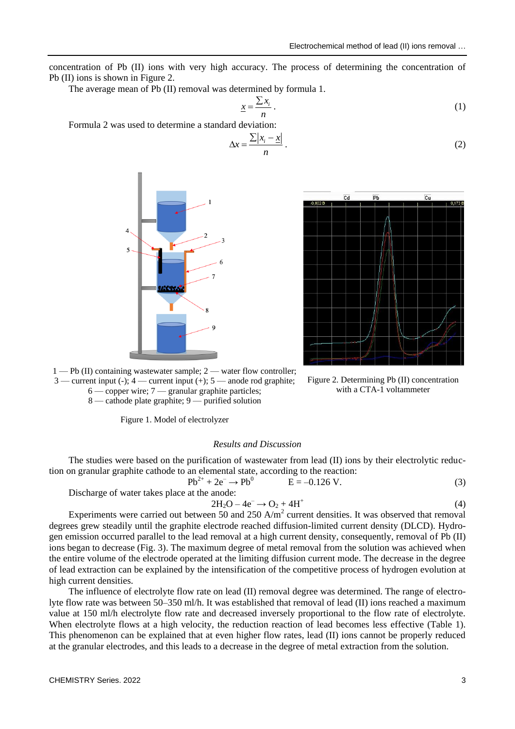concentration of Pb (II) ions with very high accuracy. The process of determining the concentration of Pb (II) ions is shown in Figure 2.

The average mean of Pb (II) removal was determined by formula 1.

$$
\underline{x} = \frac{\sum x_i}{n} \,. \tag{1}
$$

Formula 2 was used to determine a standard deviation:

$$
\Delta x = \frac{\sum |x_i - \underline{x}|}{n} \,. \tag{2}
$$





Figure 2. Determining Pb (II) concentration with a CTA-1 voltammeter

1 — Pb (II) containing wastewater sample; 2 — water flow controller;  $3$  — current input (-);  $4$  — current input (+);  $5$  — anode rod graphite; 6 — copper wire; 7 — granular graphite particles;

8 — cathode plate graphite; 9 — purified solution

Figure 1. Model of electrolyzer

### *Results and Discussion*

The studies were based on the purification of wastewater from lead (II) ions by their electrolytic reduction on granular graphite cathode to an elemental state, according to the reaction:

$$
Pb^{2+} + 2e^- \to Pb^0 \qquad E = -0.126 \text{ V.}
$$
 (3)

Discharge of water takes place at the anode:

$$
2H_2O - 4e^- \rightarrow O_2 + 4H^+ \tag{4}
$$

Experiments were carried out between 50 and 250  $A/m^2$  current densities. It was observed that removal degrees grew steadily until the graphite electrode reached diffusion-limited current density (DLCD). Hydrogen emission occurred parallel to the lead removal at a high current density, consequently, removal of Pb (II) ions began to decrease (Fig. 3). The maximum degree of metal removal from the solution was achieved when the entire volume of the electrode operated at the limiting diffusion current mode. The decrease in the degree of lead extraction can be explained by the intensification of the competitive process of hydrogen evolution at high current densities.

The influence of electrolyte flow rate on lead (II) removal degree was determined. The range of electrolyte flow rate was between 50–350 ml/h. It was established that removal of lead (II) ions reached a maximum value at 150 ml/h electrolyte flow rate and decreased inversely proportional to the flow rate of electrolyte. When electrolyte flows at a high velocity, the reduction reaction of lead becomes less effective (Table 1). This phenomenon can be explained that at even higher flow rates, lead (II) ions cannot be properly reduced at the granular electrodes, and this leads to a decrease in the degree of metal extraction from the solution.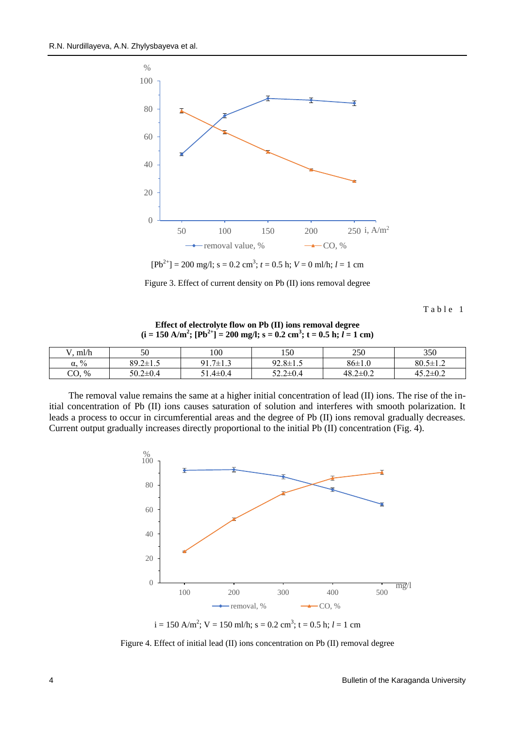

Figure 3. Effect of current density on Pb (II) ions removal degree

Table 1

**Effect of electrolyte flow on Pb (II) ions removal degree**  $(i = 150 \text{ A/m}^2; [\text{Pb}^{2+}] = 200 \text{ mg/l}; s = 0.2 \text{ cm}^3; t = 0.5 \text{ h}; l = 1 \text{ cm}$ 

| ml/h             | 50             | 100                | 150            | 250            | 350            |
|------------------|----------------|--------------------|----------------|----------------|----------------|
| $\%$<br>$\alpha$ | $89.2 \pm 1.5$ | .7 $\pm$ 1.3<br>91 | $92.8 \pm 1.5$ | $86 \pm 1.0$   | $80.5 \pm 1.2$ |
| CO, %            | $50.2 \pm 0.4$ | $51.4 \pm 0.4$     | $52.2 \pm 0.4$ | $48.2 \pm 0.2$ | $45.2 \pm 0.2$ |

The removal value remains the same at a higher initial concentration of lead (II) ions. The rise of the initial concentration of Pb (II) ions causes saturation of solution and interferes with smooth polarization. It leads a process to occur in circumferential areas and the degree of Pb (II) ions removal gradually decreases. Current output gradually increases directly proportional to the initial Pb (II) concentration (Fig. 4).



 $i = 150$  A/m<sup>2</sup>; V = 150 ml/h; s = 0.2 cm<sup>3</sup>; t = 0.5 h;  $l = 1$  cm

Figure 4. Effect of initial lead (II) ions concentration on Pb (II) removal degree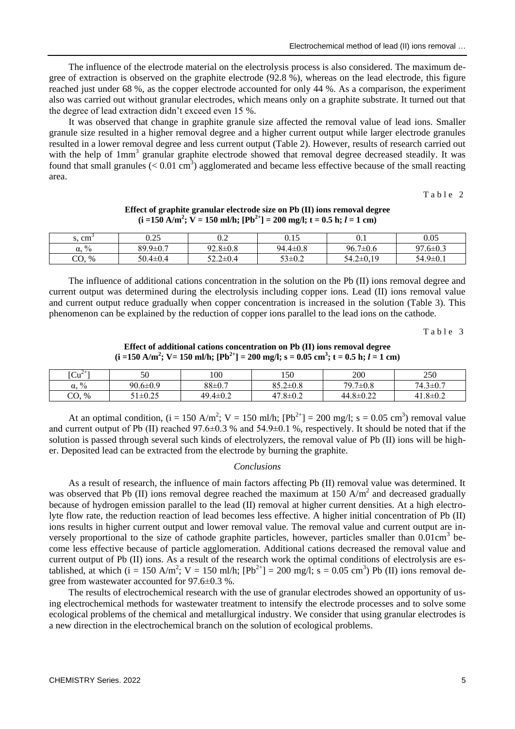The influence of the electrode material on the electrolysis process is also considered. The maximum degree of extraction is observed on the graphite electrode (92.8 %), whereas on the lead electrode, this figure reached just under 68 %, as the copper electrode accounted for only 44 %. As a comparison, the experiment also was carried out without granular electrodes, which means only on a graphite substrate. It turned out that the degree of lead extraction didn't exceed even 15 %.

It was observed that change in graphite granule size affected the removal value of lead ions. Smaller granule size resulted in a higher removal degree and a higher current output while larger electrode granules resulted in a lower removal degree and less current output (Table 2). However, results of research carried out with the help of 1mm<sup>3</sup> granular graphite electrode showed that removal degree decreased steadily. It was found that small granules  $(< 0.01 \text{ cm}^3)$  agglomerated and became less effective because of the small reacting area.

Table 2

| s, cm             | ሰ ጎኛ<br>J.ZJ   | ∪.∠            | $0.15\,$       | 0.1            | 0.05           |
|-------------------|----------------|----------------|----------------|----------------|----------------|
| $\%$<br>α.        | $89.9 \pm 0.7$ | $92.8 \pm 0.8$ | $94.4 \pm 0.8$ | $96.7 \pm 0.6$ | $97.6 \pm 0.3$ |
| rη<br>$\%$<br>ĆU. | $50.4 \pm 0.4$ | 52.2±0.4       | $53 \pm 0.2$   | 54.2±0.19      | $54.9 \pm 0.1$ |

## **Effect of graphite granular electrode size on Pb (II) ions removal degree**  $(i = 150 \text{ A/m}^2; \ \nabla = 150 \text{ ml/h}; \ [\text{Pb}^2] = 200 \text{ mg/l}; \ t = 0.5 \text{ h}; \ l = 1 \text{ cm}$

The influence of additional cations concentration in the solution on the Pb (II) ions removal degree and current output was determined during the electrolysis including copper ions. Lead (II) ions removal value and current output reduce gradually when copper concentration is increased in the solution (Table 3). This phenomenon can be explained by the reduction of copper ions parallel to the lead ions on the cathode.

Table 3

**Effect of additional cations concentration on Pb (II) ions removal degree**  $\mathbf{(i =} 150 \text{ A/m}^2; \text{ V} = 150 \text{ mJ/h}; \text{ [Pb}^{2+}\text{]} = 200 \text{ mg/l}; \text{ s} = 0.05 \text{ cm}^3; \text{ t} = 0.5 \text{ h}; l = 1 \text{ cm}^3$ 

| $\lceil Cu^{2+} \rceil$        | 50         | 100            | 150            | 200                 | 250                |
|--------------------------------|------------|----------------|----------------|---------------------|--------------------|
| $\frac{0}{0}$<br>$\alpha$      | 90.6±0.9   | $88 \pm 0.7$   | $85.2 \pm 0.8$ | $79.7 \pm 0.8$      | 74<br>$3\pm 0.7$   |
| $\cap$<br>$\frac{9}{6}$<br>UV. | $\pm 0.25$ | $49.4 \pm 0.2$ | $47.8 \pm 0.2$ | $.8 \pm 0.22$<br>44 | $.8 \pm 0.2$<br>41 |

At an optimal condition, (i = 150 A/m<sup>2</sup>; V = 150 ml/h; [Pb<sup>2+</sup>] = 200 mg/l; s = 0.05 cm<sup>3</sup>) removal value and current output of Pb (II) reached 97.6±0.3 % and 54.9±0.1 %, respectively. It should be noted that if the solution is passed through several such kinds of electrolyzers, the removal value of Pb (II) ions will be higher. Deposited lead can be extracted from the electrode by burning the graphite.

## *Conclusions*

As a result of research, the influence of main factors affecting Pb (II) removal value was determined. It was observed that Pb (II) ions removal degree reached the maximum at 150  $A/m<sup>2</sup>$  and decreased gradually because of hydrogen emission parallel to the lead (II) removal at higher current densities. At a high electrolyte flow rate, the reduction reaction of lead becomes less effective. A higher initial concentration of Pb (II) ions results in higher current output and lower removal value. The removal value and current output are inversely proportional to the size of cathode graphite particles, however, particles smaller than 0.01cm<sup>3</sup> become less effective because of particle agglomeration. Additional cations decreased the removal value and current output of Pb (II) ions. As a result of the research work the optimal conditions of electrolysis are established, at which (i = 150 A/m<sup>2</sup>; V = 150 ml/h;  $[Pb^{2+}]$  = 200 mg/l; s = 0.05 cm<sup>3</sup>) Pb (II) ions removal degree from wastewater accounted for 97.6±0.3 %.

The results of electrochemical research with the use of granular electrodes showed an opportunity of using electrochemical methods for wastewater treatment to intensify the electrode processes and to solve some ecological problems of the chemical and metallurgical industry. We consider that using granular electrodes is a new direction in the electrochemical branch on the solution of ecological problems.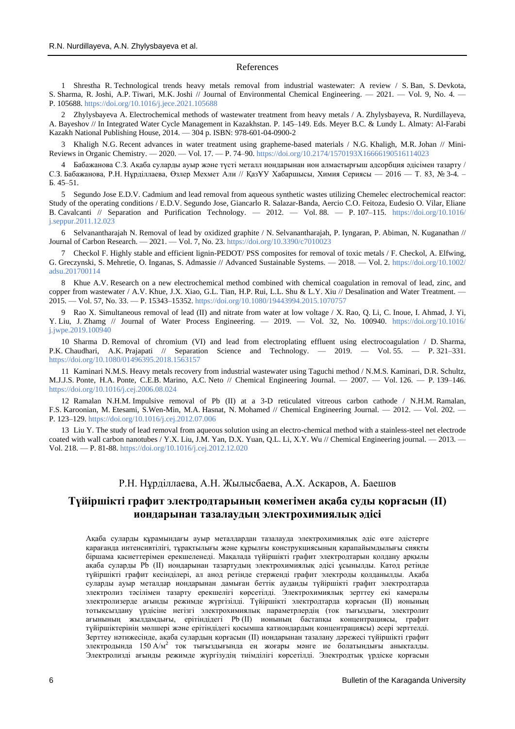#### References

1 Shrestha R. Technological trends heavy metals removal from industrial wastewater: A review / S. Ban, S. Devkota, S. Sharma, R. Joshi, A.P. Tiwari, M.K. Joshi // Journal of Environmental Chemical Engineering. — 2021. — Vol. 9, No. 4. — P. 105688[. https://doi.org/10.1016/j.jece.2021.105688](https://doi.org/10.1016/j.jece.2021.105688)

2 Zhylysbayeva A. Electrochemical methods of wastewater treatment from heavy metals / A. Zhylysbayeva, R. Nurdillayeva, A. Bayeshov // In Integrated Water Cycle Management in Kazakhstan. P. 145–149. Eds. Meyer B.C. & Lundy L. Almaty: Al-Farabi Kazakh National Publishing House, 2014. — 304 p. ISBN: 978-601-04-0900-2

3 Khaligh N.G. Recent advances in water treatment using grapheme-based materials / N.G. Khaligh, M.R. Johan // Mini-Reviews in Organic Chemistry. — 2020. — Vol. 17. — P. 74–90[. https://doi.org/10.2174/1570193X16666190516114023](https://doi.org/10.2174/1570193X16666190516114023%5b2)

4 Бабажанова С.З. Ақаба суларды ауыр және түсті металл иондарынан ион алмастырғыш адсорбция әдісімен тазарту / С.З. Бабажанова, Р.Н. Нұрділлаева, Өзлер Мехмет Али // ҚазҰУ Хабаршысы, Химия Сериясы — 2016 — Т. 83, № 3-4. – Б. 45–51.

5 Segundo Jose E.D.V. Cadmium and lead removal from aqueous synthetic wastes utilizing Chemelec electrochemical reactor: Study of the operating conditions / E.D.V. Segundo Jose, Giancarlo R. Salazar-Banda, Aercio C.O. Feitoza, Eudesio O. Vilar, Eliane B. Cavalcanti // Separation and Purification Technology. — 2012. — Vol. 88. — P. 107–115. [https://doi.org/10.1016/](https://doi.org/10.1016/j.seppur.2011.12.023) [j.seppur.2011.12.023](https://doi.org/10.1016/j.seppur.2011.12.023)

6 Selvanantharajah N. Removal of lead by oxidized graphite / N. Selvanantharajah, P. Iyngaran, P. Abiman, N. Kuganathan // Journal of Carbon Research. — 2021. — Vol. 7, No. 23[. https://doi.org/10.3390/c7010023](https://doi.org/10.3390/c7010023)

7 Checkol F. Highly stable and efficient lignin-PEDOT/ PSS composites for removal of toxic metals / F. Checkol, A. Elfwing, G. Greczynski, S. Mehretie, O. Inganas, S. Admassie // Advanced Sustainable Systems. — 2018. — Vol. 2. [https://doi.org/10.1002/](https://doi.org/10.1002/adsu.201700114) [adsu.201700114](https://doi.org/10.1002/adsu.201700114)

8 Khue A.V. Research on a new electrochemical method combined with chemical coagulation in removal of lead, zinc, and copper from wastewater / A.V. Khue, J.X. Xiao, G.L. Tian, H.P. Rui, L.L. Shu & L.Y. Xiu // Desalination and Water Treatment. -2015. — Vol. 57, No. 33. — P. 15343–15352[. https://doi.org/10.1080/19443994.2015.1070757](https://doi.org/10.1080/19443994.2015.1070757%5b4)

9 Rao X. Simultaneous removal of lead (II) and nitrate from water at low voltage / X. Rao, Q. Li, C. Inoue, I. Ahmad, J. Yi, Y. Liu, J. Zhamg // Journal of Water Process Engineering. — 2019. — Vol. 32, No. 100940. [https://doi.org/10.1016/](https://doi.org/10.1016/j.jwpe.2019.100940%5b6) [j.jwpe.2019.100940](https://doi.org/10.1016/j.jwpe.2019.100940%5b6)

10 Sharma D. Removal of chromium (VI) and lead from electroplating effluent using electrocoagulation / D. Sharma, P.K. Chaudhari, A.K. Prajapati // Separation Science and Technology. — 2019. — Vol. 55. — P. 321–331. <https://doi.org/10.1080/01496395.2018.1563157>

11 Kaminari N.M.S. Heavy metals recovery from industrial wastewater using Taguchi method / N.M.S. Kaminari, D.R. Schultz, M.J.J.S. Ponte, H.A. Ponte, C.E.B. Marino, A.C. Neto // Chemical Engineering Journal. — 2007. — Vol. 126. — P. 139–146. <https://doi.org/10.1016/j.cej.2006.08.024>

12 Ramalan N.H.M. Impulsive removal of Pb (II) at a 3-D reticulated vitreous carbon cathode / N.H.M. Ramalan, F.S. Karoonian, M. Etesami, S.Wen-Min, M.A. Hasnat, N. Mohamed // Chemical Engineering Journal. — 2012. — Vol. 202. — P. 123–129[. https://doi.org/10.1016/j.cej.2012.07.006](https://doi.org/10.1016/j.cej.2012.07.006)

13 Liu Y. The study of lead removal from aqueous solution using an electro-chemical method with a stainless-steel net electrode coated with wall carbon nanotubes / Y.X. Liu, J.M. Yan, D.X. Yuan, Q.L. Li, X.Y. Wu // Chemical Engineering journal. — 2013. — Vol. 218. — P. 81-88.<https://doi.org/10.1016/j.cej.2012.12.020>

## Р.Н. Нұрділлаева, А.Н. Жылысбаева, А.Х. Аскаров, А. Баешов

## **Түйіршікті графит электродтарының көмегімен ақаба суды қорғасын (II) иондарынан тазалаудың электрохимиялық әдісі**

Ақаба суларды құрамындағы ауыр металдардан тазалауда электрохимиялық әдіс өзге әдістерге қарағанда интенсивтілігі, тұрақтылығы және құрылғы конструкциясының қарапайымдылығы сияқты біршама қасиеттерімен ерекшеленеді. Мақалада түйіршікті графит электродтарын қолдану арқылы ақаба суларды Pb (II) иондарынан тазартудың электрохимиялық әдісі ұсынылды. Катод ретінде түйіршікті графит кесінділері, ал анод ретінде стерженді графит электроды қолданылды. Ақаба суларды ауыр металдар иондарынан дамыған беттік ауданды түйіршікті графит электродтарда электролиз тәсілімен тазарту ерекшелігі көрсетілді. Электрохимиялық зерттеу екі камералы электролизерде ағынды режимде жүргізілді. Түйіршікті электродтарда қорғасын (II) ионының тотықсыздану үрдісіне негізгі электрохимиялық параметрлердің (ток тығыздығы, электролит ағынының жылдамдығы, ерітіндідегі Pb (II) ионының бастапқы концентрациясы, графит түйіршіктерінің мөлшері және ерітіндідегі қосымша катиондардың концентрациясы) әсері зерттелді. Зерттеу нәтижесінде, ақаба сулардың қорғасын (II) иондарынан тазалану дәрежесі түйіршікті графит электродында 150 А/м<sup>2</sup> ток тығыздығында ең жоғары мәнге ие болатындығы анықталды. Электролизді ағынды режимде жүргізудің тиімділігі көрсетілді. Электродтық үрдіске қорғасын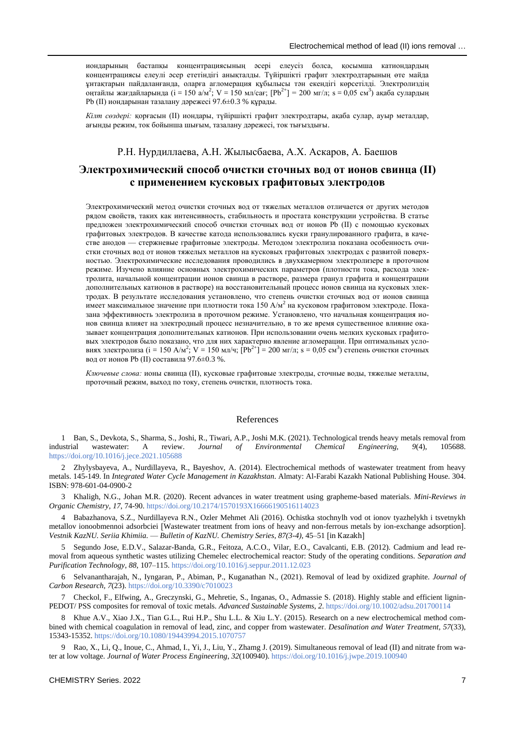иондарының бастапқы концентрациясының әсері елеусіз болса, қосымша катиондардың концентрациясы елеулі әсер ететіндігі анықталды. Түйіршікті графит электродтарының өте майда ұнтақтарын пайдаланғанда, оларға агломерация құбылысы тән екендігі көрсетілді. Электролиздің оңтайлы жағдайларында (i = 150 а/м<sup>2</sup>; V = 150 мл/сағ; [Pb<sup>2+</sup>] = 200 мг/л; s = 0,05 см<sup>3</sup>) ақаба сулардың Pb (II) иондарынан тазалану дәрежесі 97.6±0.3 % құрады.

*Кілт сөздері:* қорғасын (II) иондары, түйіршікті графит электродтары, ақаба сулар, ауыр металдар, ағынды режим, ток бойынша шығым, тазалану дәрежесі, ток тығыздығы.

## Р.Н. Нурдиллаева, А.Н. Жылысбаева, А.Х. Аскаров, А. Баешов

# **Электрохимический способ очистки сточных вод от ионов свинца (II) с применением кусковых графитовых электродов**

Электрохимический метод очистки сточных вод от тяжелых металлов отличается от других методов рядом свойств, таких как интенсивность, стабильность и простата конструкции устройства. В статье предложен электрохимический способ очистки сточных вод от ионов Pb (II) с помощью кусковых графитовых электродов. В качестве катода использовались куски гранулированного графита, в качестве анодов — стержневые графитовые электроды. Методом электролиза показана особенность очистки сточных вод от ионов тяжелых металлов на кусковых графитовых электродах с развитой поверхностью. Электрохимические исследования проводились в двухкамерном электролизере в проточном режиме. Изучено влияние основных электрохимических параметров (плотности тока, расхода электролита, начальной концентрации ионов свинца в растворе, размера гранул графита и концентрации дополнительных катионов в растворе) на восстановительный процесс ионов свинца на кусковых электродах. В результате исследования установлено, что степень очистки сточных вод от ионов свинца имеет максимальное значение при плотности тока 150 А/м<sup>2</sup> на кусковом графитовом электроде. Показана эффективность электролиза в проточном режиме. Установлено, что начальная концентрация ионов свинца влияет на электродный процесс незначительно, в то же время существенное влияние оказывает концентрация дополнительных катионов. При использовании очень мелких кусковых графитовых электродов было показано, что для них характерно явление агломерации. При оптимальных условиях электролиза (i = 150 А/м<sup>2</sup>; V = 150 мл/ч;  $[Pb^{2+}]$  = 200 мг/л; s = 0,05 см<sup>3</sup>) степень очистки сточных вод от ионов Pb (II) составила 97.6±0.3 %.

*Ключевые слова:* ионы свинца (II), кусковые графитовые электроды, сточные воды, тяжелые металлы, проточный режим, выход по току, степень очистки, плотность тока.

#### References

1 Ban, S., Devkota, S., Sharma, S., Joshi, R., Tiwari, A.P., Joshi M.K. (2021). Technological trends heavy metals removal from industrial wastewater: A review. *Journal of Environmental Chemical Engineering, 9*(4), 105688. <https://doi.org/10.1016/j.jece.2021.105688>

2 Zhylysbayeva, A., Nurdillayeva, R., Bayeshov, A. (2014). Electrochemical methods of wastewater treatment from heavy metals. 145-149. In *Integrated Water Cycle Management in Kazakhstan*. Almaty: Al-Farabi Kazakh National Publishing House. 304. ISBN: 978-601-04-0900-2

3 Khaligh, N.G., Johan M.R. (2020). Recent advances in water treatment using grapheme-based materials. *Mini-Reviews in Organic Chemistry, 17*, 74-90[. https://doi.org/10.2174/1570193X16666190516114023](https://doi.org/10.2174/1570193X16666190516114023)

4 Babazhanova, S.Z., Nurdillayeva R.N., Ozler Mehmet Ali (2016). Ochistka stochnylh vod ot ionov tyazhelykh i tsvetnykh metallov ionoobmennoi adsorbciei [Wastewater treatment from ions of heavy and non-ferrous metals by ion-exchange adsorption]. *Vestnik KazNU. Seriia Khimiia.* — *Bulletin of KazNU. Chemistry Series, 87(3-4),* 45–51 [in Kazakh]

5 Segundo Jose, E.D.V., Salazar-Banda, G.R., Feitoza, A.C.O., Vilar, E.O., Cavalcanti, E.B. (2012). Cadmium and lead removal from aqueous synthetic wastes utilizing Chemelec electrochemical reactor: Study of the operating conditions. *Separation and Purification Technology*, *88*, 107–115[. https://doi.org/10.1016/j.seppur.2011.12.023](https://doi.org/10.1016/j.seppur.2011.12.023)

6 Selvanantharajah, N., Iyngaran, P., Abiman, P., Kuganathan N., (2021). Removal of lead by oxidized graphite. *Journal of Carbon Research, 7*(23)[. https://doi.org/10.3390/c7010023](https://doi.org/10.3390/c7010023)

7 Checkol, F., Elfwing, A., Greczynski, G., Mehretie, S., Inganas, O., Admassie S. (2018). Highly stable and efficient lignin-PEDOT/ PSS composites for removal of toxic metals. *Advanced Sustainable Systems*, *2*.<https://doi.org/10.1002/adsu.201700114>

8 Khue A.V., Xiao J.X., Tian G.L., Rui H.P., Shu L.L. & Xiu L.Y. (2015). Research on a new electrochemical method combined with chemical coagulation in removal of lead, zinc, and copper from wastewater. *Desalination and Water Treatment, 57*(33), 15343-15352.<https://doi.org/10.1080/19443994.2015.1070757>

9 Rao, X., Li, Q., Inoue, C., Ahmad, I., Yi, J., Liu, Y., Zhamg J. (2019). Simultaneous removal of lead (II) and nitrate from water at low voltage. *Journal of Water Process Engineering*, *32*(100940).<https://doi.org/10.1016/j.jwpe.2019.100940>